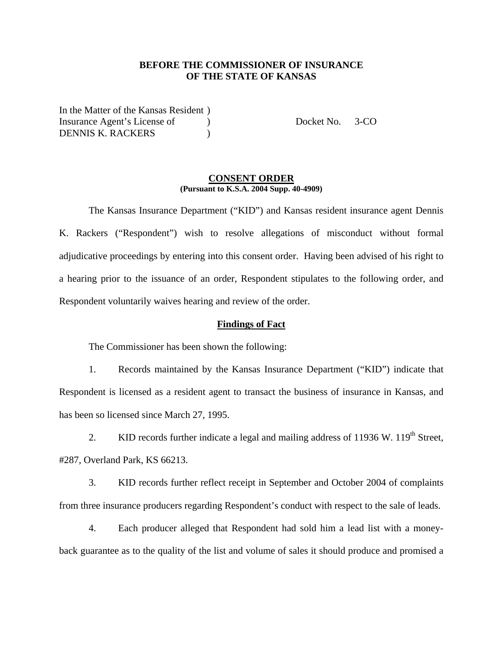## **BEFORE THE COMMISSIONER OF INSURANCE OF THE STATE OF KANSAS**

In the Matter of the Kansas Resident ) Insurance Agent's License of (a) Docket No. 3-CO DENNIS K. RACKERS )

#### **CONSENT ORDER (Pursuant to K.S.A. 2004 Supp. 40-4909)**

 The Kansas Insurance Department ("KID") and Kansas resident insurance agent Dennis K. Rackers ("Respondent") wish to resolve allegations of misconduct without formal adjudicative proceedings by entering into this consent order. Having been advised of his right to a hearing prior to the issuance of an order, Respondent stipulates to the following order, and Respondent voluntarily waives hearing and review of the order.

### **Findings of Fact**

The Commissioner has been shown the following:

1. Records maintained by the Kansas Insurance Department ("KID") indicate that Respondent is licensed as a resident agent to transact the business of insurance in Kansas, and has been so licensed since March 27, 1995.

2. KID records further indicate a legal and mailing address of 11936 W.  $119<sup>th</sup>$  Street, #287, Overland Park, KS 66213.

3. KID records further reflect receipt in September and October 2004 of complaints from three insurance producers regarding Respondent's conduct with respect to the sale of leads.

4. Each producer alleged that Respondent had sold him a lead list with a moneyback guarantee as to the quality of the list and volume of sales it should produce and promised a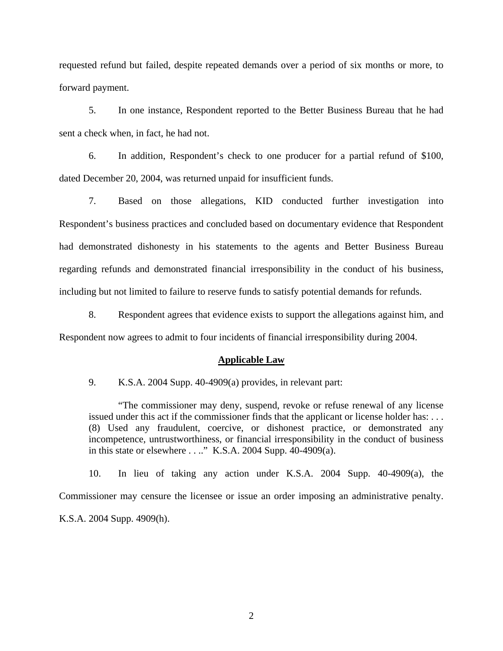requested refund but failed, despite repeated demands over a period of six months or more, to forward payment.

5. In one instance, Respondent reported to the Better Business Bureau that he had sent a check when, in fact, he had not.

6. In addition, Respondent's check to one producer for a partial refund of \$100, dated December 20, 2004, was returned unpaid for insufficient funds.

7. Based on those allegations, KID conducted further investigation into Respondent's business practices and concluded based on documentary evidence that Respondent had demonstrated dishonesty in his statements to the agents and Better Business Bureau regarding refunds and demonstrated financial irresponsibility in the conduct of his business, including but not limited to failure to reserve funds to satisfy potential demands for refunds.

8. Respondent agrees that evidence exists to support the allegations against him, and Respondent now agrees to admit to four incidents of financial irresponsibility during 2004.

#### **Applicable Law**

9. K.S.A. 2004 Supp. 40-4909(a) provides, in relevant part:

"The commissioner may deny, suspend, revoke or refuse renewal of any license issued under this act if the commissioner finds that the applicant or license holder has: . . . (8) Used any fraudulent, coercive, or dishonest practice, or demonstrated any incompetence, untrustworthiness, or financial irresponsibility in the conduct of business in this state or elsewhere . . .." K.S.A. 2004 Supp. 40-4909(a).

10. In lieu of taking any action under K.S.A. 2004 Supp. 40-4909(a), the Commissioner may censure the licensee or issue an order imposing an administrative penalty. K.S.A. 2004 Supp. 4909(h).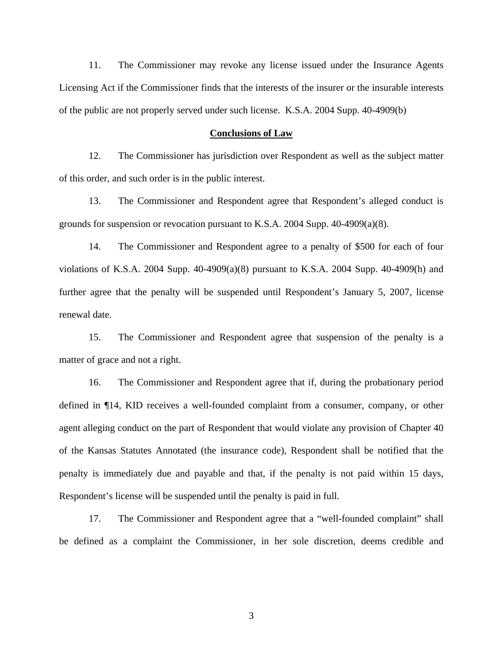11. The Commissioner may revoke any license issued under the Insurance Agents Licensing Act if the Commissioner finds that the interests of the insurer or the insurable interests of the public are not properly served under such license. K.S.A. 2004 Supp. 40-4909(b)

#### **Conclusions of Law**

12. The Commissioner has jurisdiction over Respondent as well as the subject matter of this order, and such order is in the public interest.

13. The Commissioner and Respondent agree that Respondent's alleged conduct is grounds for suspension or revocation pursuant to K.S.A. 2004 Supp.  $40-4909(a)(8)$ .

14. The Commissioner and Respondent agree to a penalty of \$500 for each of four violations of K.S.A. 2004 Supp. 40-4909(a)(8) pursuant to K.S.A. 2004 Supp. 40-4909(h) and further agree that the penalty will be suspended until Respondent's January 5, 2007, license renewal date.

15. The Commissioner and Respondent agree that suspension of the penalty is a matter of grace and not a right.

16. The Commissioner and Respondent agree that if, during the probationary period defined in ¶14, KID receives a well-founded complaint from a consumer, company, or other agent alleging conduct on the part of Respondent that would violate any provision of Chapter 40 of the Kansas Statutes Annotated (the insurance code), Respondent shall be notified that the penalty is immediately due and payable and that, if the penalty is not paid within 15 days, Respondent's license will be suspended until the penalty is paid in full.

17. The Commissioner and Respondent agree that a "well-founded complaint" shall be defined as a complaint the Commissioner, in her sole discretion, deems credible and

3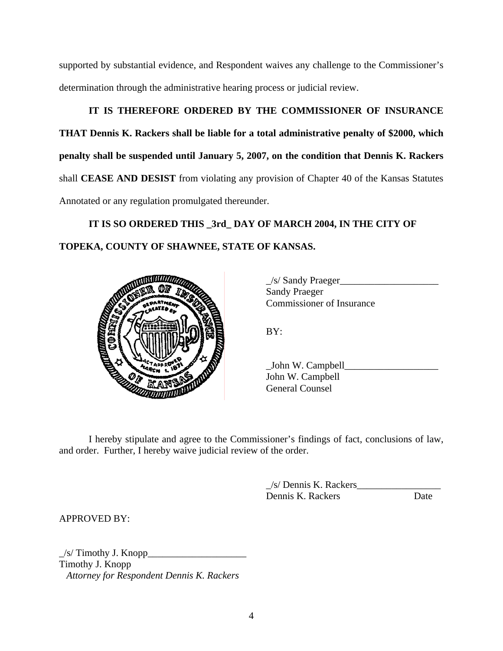supported by substantial evidence, and Respondent waives any challenge to the Commissioner's determination through the administrative hearing process or judicial review.

# **IT IS THEREFORE ORDERED BY THE COMMISSIONER OF INSURANCE**

**THAT Dennis K. Rackers shall be liable for a total administrative penalty of \$2000, which penalty shall be suspended until January 5, 2007, on the condition that Dennis K. Rackers** shall **CEASE AND DESIST** from violating any provision of Chapter 40 of the Kansas Statutes Annotated or any regulation promulgated thereunder.

**IT IS SO ORDERED THIS \_3rd\_ DAY OF MARCH 2004, IN THE CITY OF TOPEKA, COUNTY OF SHAWNEE, STATE OF KANSAS.** 



 \_/s/ Sandy Praeger\_\_\_\_\_\_\_\_\_\_\_\_\_\_\_\_\_\_\_\_ Sandy Praeger Commissioner of Insurance

BY:

 \_John W. Campbell\_\_\_\_\_\_\_\_\_\_\_\_\_\_\_\_\_\_\_ John W. Campbell General Counsel

 I hereby stipulate and agree to the Commissioner's findings of fact, conclusions of law, and order. Further, I hereby waive judicial review of the order.

> \_/s/ Dennis K. Rackers\_\_\_\_\_\_\_\_\_\_\_\_\_\_\_\_\_ Dennis K. Rackers Date

APPROVED BY:

 $/s$  Timothy J. Knopp Timothy J. Knopp *Attorney for Respondent Dennis K. Rackers*